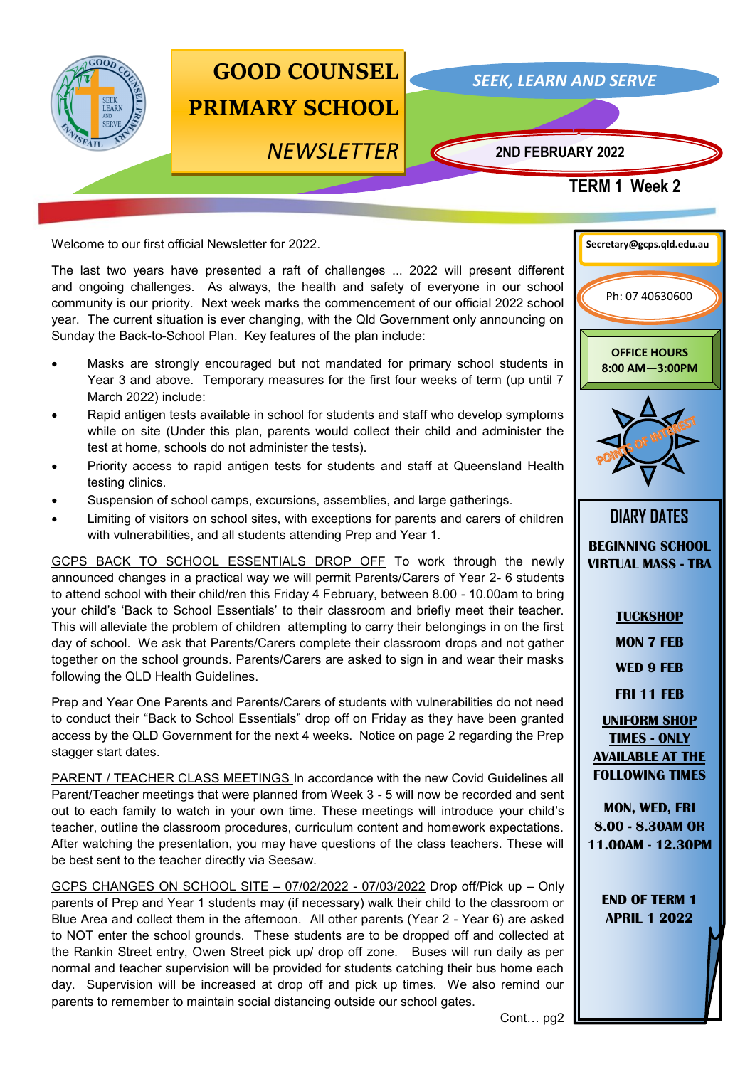

Welcome to our first official Newsletter for 2022.

The last two years have presented a raft of challenges ... 2022 will present different and ongoing challenges. As always, the health and safety of everyone in our school community is our priority. Next week marks the commencement of our official 2022 school year. The current situation is ever changing, with the Qld Government only announcing on Sunday the Back-to-School Plan. Key features of the plan include:

- Masks are strongly encouraged but not mandated for primary school students in Year 3 and above. Temporary measures for the first four weeks of term (up until 7 March 2022) include:
- Rapid antigen tests available in school for students and staff who develop symptoms while on site (Under this plan, parents would collect their child and administer the test at home, schools do not administer the tests).
- Priority access to rapid antigen tests for students and staff at Queensland Health testing clinics.
- Suspension of school camps, excursions, assemblies, and large gatherings.
- Limiting of visitors on school sites, with exceptions for parents and carers of children with vulnerabilities, and all students attending Prep and Year 1.

GCPS BACK TO SCHOOL ESSENTIALS DROP OFF To work through the newly announced changes in a practical way we will permit Parents/Carers of Year 2- 6 students to attend school with their child/ren this Friday 4 February, between 8.00 - 10.00am to bring your child's 'Back to School Essentials' to their classroom and briefly meet their teacher. This will alleviate the problem of children attempting to carry their belongings in on the first day of school. We ask that Parents/Carers complete their classroom drops and not gather together on the school grounds. Parents/Carers are asked to sign in and wear their masks following the QLD Health Guidelines.

Prep and Year One Parents and Parents/Carers of students with vulnerabilities do not need to conduct their "Back to School Essentials" drop off on Friday as they have been granted access by the QLD Government for the next 4 weeks. Notice on page 2 regarding the Prep stagger start dates.

PARENT / TEACHER CLASS MEETINGS In accordance with the new Covid Guidelines all Parent/Teacher meetings that were planned from Week 3 - 5 will now be recorded and sent out to each family to watch in your own time. These meetings will introduce your child's teacher, outline the classroom procedures, curriculum content and homework expectations. After watching the presentation, you may have questions of the class teachers. These will be best sent to the teacher directly via Seesaw.

GCPS CHANGES ON SCHOOL SITE – 07/02/2022 - 07/03/2022 Drop off/Pick up – Only parents of Prep and Year 1 students may (if necessary) walk their child to the classroom or Blue Area and collect them in the afternoon. All other parents (Year 2 - Year 6) are asked to NOT enter the school grounds. These students are to be dropped off and collected at the Rankin Street entry, Owen Street pick up/ drop off zone. Buses will run daily as per normal and teacher supervision will be provided for students catching their bus home each day. Supervision will be increased at drop off and pick up times. We also remind our parents to remember to maintain social distancing outside our school gates.



**APRIL 1 2022**

Cont… pg2